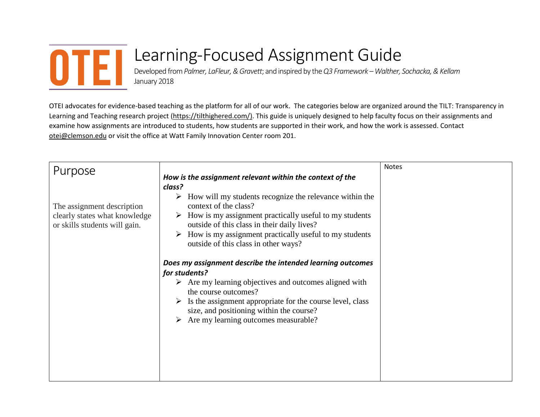

## Learning-Focused Assignment Guide

Developed from*Palmer, LaFleur, & Gravett*; and inspired by the *Q3 Framework –Walther, Sochacka, & Kellam* January 2018

OTEI advocates for evidence-based teaching as the platform for all of our work. The categories below are organized around the TILT: Transparency in Learning and Teaching research project [\(https://tilthighered.com/\).](https://tilthighered.com/)) This guide is uniquely designed to help faculty focus on their assignments and examine how assignments are introduced to students, how students are supported in their work, and how the work is assessed. Contact [otei@clemson.edu](mailto:otei@clemson.edu) or visit the office at Watt Family Innovation Center room 201.

| Purpose                                                                                      | How is the assignment relevant within the context of the                                                                                                                                                                                                                                                                      | <b>Notes</b> |
|----------------------------------------------------------------------------------------------|-------------------------------------------------------------------------------------------------------------------------------------------------------------------------------------------------------------------------------------------------------------------------------------------------------------------------------|--------------|
| The assignment description<br>clearly states what knowledge<br>or skills students will gain. | class?<br>How will my students recognize the relevance within the<br>➤<br>context of the class?<br>$\triangleright$ How is my assignment practically useful to my students<br>outside of this class in their daily lives?<br>How is my assignment practically useful to my students<br>outside of this class in other ways?   |              |
|                                                                                              | Does my assignment describe the intended learning outcomes<br>for students?<br>$\triangleright$ Are my learning objectives and outcomes aligned with<br>the course outcomes?<br>Is the assignment appropriate for the course level, class<br>size, and positioning within the course?<br>Are my learning outcomes measurable? |              |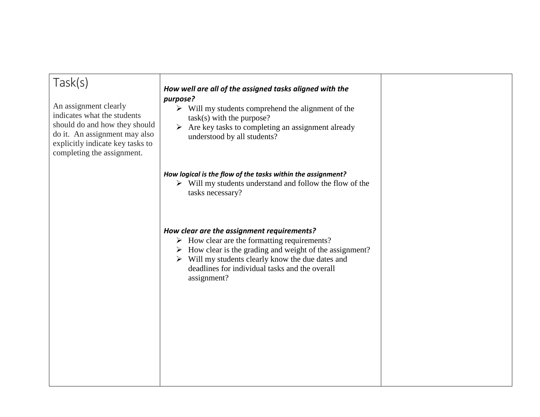| Task(s)<br>An assignment clearly<br>indicates what the students<br>should do and how they should<br>do it. An assignment may also<br>explicitly indicate key tasks to<br>completing the assignment. | How well are all of the assigned tasks aligned with the<br>purpose?<br>$\triangleright$ Will my students comprehend the alignment of the<br>$task(s)$ with the purpose?<br>$\triangleright$ Are key tasks to completing an assignment already<br>understood by all students?                                  |  |
|-----------------------------------------------------------------------------------------------------------------------------------------------------------------------------------------------------|---------------------------------------------------------------------------------------------------------------------------------------------------------------------------------------------------------------------------------------------------------------------------------------------------------------|--|
|                                                                                                                                                                                                     | How logical is the flow of the tasks within the assignment?<br>$\triangleright$ Will my students understand and follow the flow of the<br>tasks necessary?                                                                                                                                                    |  |
|                                                                                                                                                                                                     | How clear are the assignment requirements?<br>$\triangleright$ How clear are the formatting requirements?<br>How clear is the grading and weight of the assignment?<br>➤<br>$\triangleright$ Will my students clearly know the due dates and<br>deadlines for individual tasks and the overall<br>assignment? |  |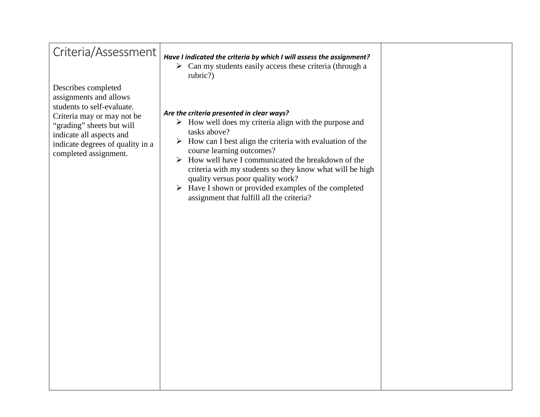| Criteria/Assessment                                                                                                                                                                                                             | Have I indicated the criteria by which I will assess the assignment?<br>$\triangleright$ Can my students easily access these criteria (through a<br>rubric?)                                                                                                                                                                                                                                                                                                                                                                            |  |
|---------------------------------------------------------------------------------------------------------------------------------------------------------------------------------------------------------------------------------|-----------------------------------------------------------------------------------------------------------------------------------------------------------------------------------------------------------------------------------------------------------------------------------------------------------------------------------------------------------------------------------------------------------------------------------------------------------------------------------------------------------------------------------------|--|
| Describes completed<br>assignments and allows<br>students to self-evaluate.<br>Criteria may or may not be<br>"grading" sheets but will<br>indicate all aspects and<br>indicate degrees of quality in a<br>completed assignment. | Are the criteria presented in clear ways?<br>$\triangleright$ How well does my criteria align with the purpose and<br>tasks above?<br>$\triangleright$ How can I best align the criteria with evaluation of the<br>course learning outcomes?<br>$\triangleright$ How well have I communicated the breakdown of the<br>criteria with my students so they know what will be high<br>quality versus poor quality work?<br>$\triangleright$ Have I shown or provided examples of the completed<br>assignment that fulfill all the criteria? |  |